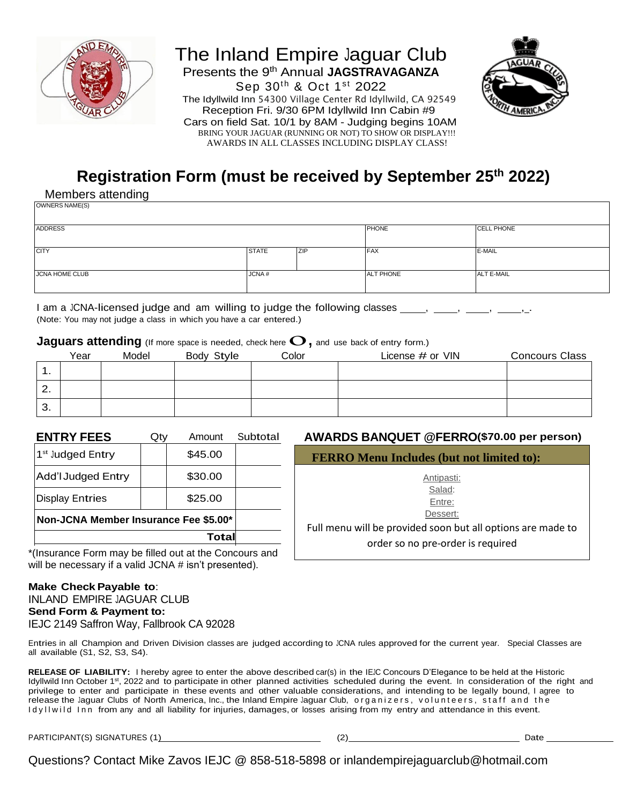

## The Inland Empire Jaguar Club Presents the 9<sup>th</sup> Annual JAGSTRAVAGANZA Sep 30th & Oct 1st 2022 The Idyllwild Inn 54300 Village Center Rd Idyllwild, CA 92549 Reception Fri. 9/30 6PM Idyllwild Inn Cabin #9 Cars on field Sat. 10/1 by 8AM - Judging begins 10AM BRING YOUR JAGUAR (RUNNING OR NOT) TO SHOW OR DISPLAY!!! AWARDS IN ALL CLASSES INCLUDING DISPLAY CLASS!



# **Registration Form (must be received by September 25 th 2022)**

Members attending

| OWNERS NAME(S)        |              |            |                  |                   |
|-----------------------|--------------|------------|------------------|-------------------|
| <b>ADDRESS</b>        |              |            | <b>PHONE</b>     | <b>CELL PHONE</b> |
| <b>CITY</b>           | <b>STATE</b> | <b>ZIP</b> | <b>FAX</b>       | E-MAIL            |
| <b>JCNA HOME CLUB</b> | JCNA#        |            | <b>ALT PHONE</b> | <b>ALT E-MAIL</b> |

I am a JCNA-licensed judge and am willing to judge the following classes , , , , (Note: You may not judge a class in which you have a car entered.)

#### **Jaguars attending** (If more space is needed, check here  $\mathbf{O}$ , and use back of entry form.)

|               | Year | Model | Body Style | Color | License $#$ or $VIN$ | <b>Concours Class</b> |
|---------------|------|-------|------------|-------|----------------------|-----------------------|
| . .           |      |       |            |       |                      |                       |
| ◠<br><u>.</u> |      |       |            |       |                      |                       |
| 3.            |      |       |            |       |                      |                       |

| <b>ENTRY FEES</b>                     | Qtv | Amount  | Subtotal |  |  |
|---------------------------------------|-----|---------|----------|--|--|
| 1 <sup>st</sup> Judged Entry          |     | \$45.00 |          |  |  |
| <b>Add'I Judged Entry</b>             |     | \$30.00 |          |  |  |
| <b>Display Entries</b>                |     | \$25.00 |          |  |  |
| Non-JCNA Member Insurance Fee \$5.00* |     |         |          |  |  |
|                                       |     |         |          |  |  |

\*(Insurance Form may be filled out at the Concours and will be necessary if a valid JCNA # isn't presented).

#### **Make CheckPayable to**: INLAND EMPIRE JAGUAR CLUB **Send Form & Payment to:** IEJC 2149 Saffron Way, Fallbrook CA 92028

**EXTRYI AMOUNTELY** @FERRO (\$70.00 per person)

**FERRO Menu Includes (but not limited to):**

Antipasti: Salad: Entre:

Dessert:

Full menu will be provided soon but all options are made to order so no pre-order is required

Entries in all Champion and Driven Division classes are judged according to JCNA rules approved for the current year. Special Classes are all available (S1, S2, S3, S4).

**RELEASE OF LIABILITY:** I hereby agree to enter the above described car(s) in the IEJC Concours D'Elegance to be held at the Historic Idyllwild Inn October 1<sup>st</sup>, 2022 and to participate in other planned activities scheduled during the event. In consideration of the right and privilege to enter and participate in these events and other valuable considerations, and intending to be legally bound, I agree to release the Jaguar Clubs of North America, Inc., the Inland Empire Jaguar Club, organizers, volunteers, staff and the Idyllwild Inn from any and all liability for injuries, damages, or losses arising from my entry and attendance in this event.

PARTICIPANT(S) SIGNATURES (1) (2) CHEER (2) Date

Questions? Contact Mike Zavos IEJC @ 858-518-5898 or inlandempirejaguarclub@hotmail.com